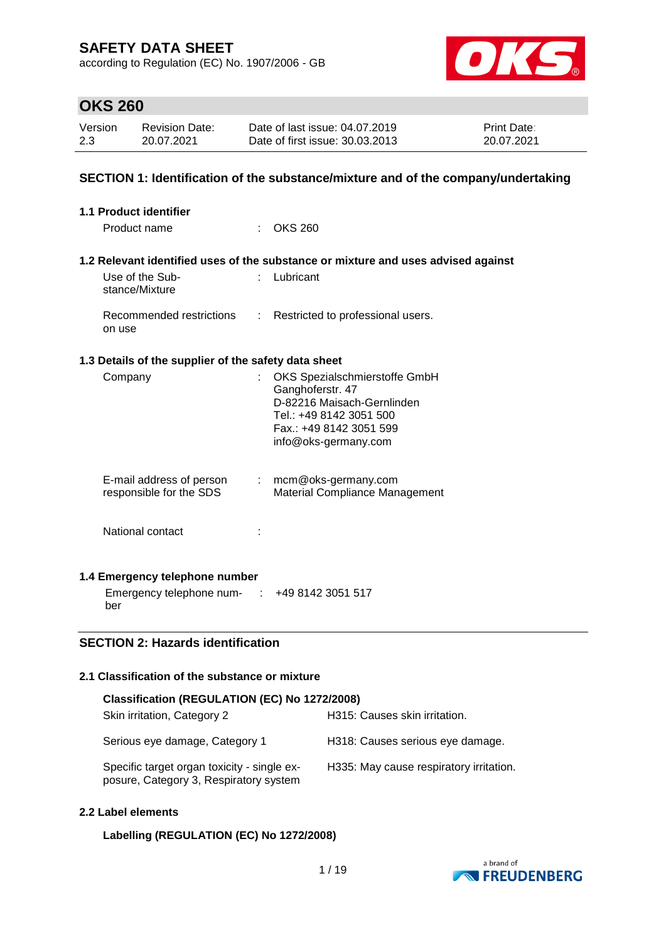according to Regulation (EC) No. 1907/2006 - GB



## **OKS 260**

| Version | <b>Revision Date:</b> | Date of last issue: 04.07.2019  | <b>Print Date:</b> |
|---------|-----------------------|---------------------------------|--------------------|
| 2.3     | 20.07.2021            | Date of first issue: 30.03.2013 | 20.07.2021         |

### **SECTION 1: Identification of the substance/mixture and of the company/undertaking**

| 1.1 Product identifier                               |                                                                                   |
|------------------------------------------------------|-----------------------------------------------------------------------------------|
| Product name<br>$\mathcal{F}(\mathcal{A})$           | <b>OKS 260</b>                                                                    |
|                                                      |                                                                                   |
|                                                      | 1.2 Relevant identified uses of the substance or mixture and uses advised against |
| Use of the Sub-<br>stance/Mixture                    | Lubricant                                                                         |
| on use                                               | Recommended restrictions : Restricted to professional users.                      |
| 1.3 Details of the supplier of the safety data sheet |                                                                                   |
| Company                                              | OKS Spezialschmierstoffe GmbH                                                     |
|                                                      | Ganghoferstr. 47<br>D-82216 Maisach-Gernlinden                                    |
|                                                      | Tel.: +49 8142 3051 500                                                           |
|                                                      | Fax.: +49 8142 3051 599                                                           |
|                                                      | info@oks-germany.com                                                              |
| E-mail address of person                             | $:$ mcm@oks-germany.com                                                           |
| responsible for the SDS                              | Material Compliance Management                                                    |
| National contact                                     |                                                                                   |
|                                                      |                                                                                   |
| 1.4 Emergency telephone number                       |                                                                                   |
| Emergency telephone num-                             | +49 8142 3051 517                                                                 |

## **SECTION 2: Hazards identification**

#### **2.1 Classification of the substance or mixture**

| Classification (REGULATION (EC) No 1272/2008)                                         |                                         |  |  |  |
|---------------------------------------------------------------------------------------|-----------------------------------------|--|--|--|
| Skin irritation, Category 2                                                           | H315: Causes skin irritation.           |  |  |  |
| Serious eye damage, Category 1                                                        | H318: Causes serious eye damage.        |  |  |  |
| Specific target organ toxicity - single ex-<br>posure, Category 3, Respiratory system | H335: May cause respiratory irritation. |  |  |  |

#### **2.2 Label elements**

ber

## **Labelling (REGULATION (EC) No 1272/2008)**

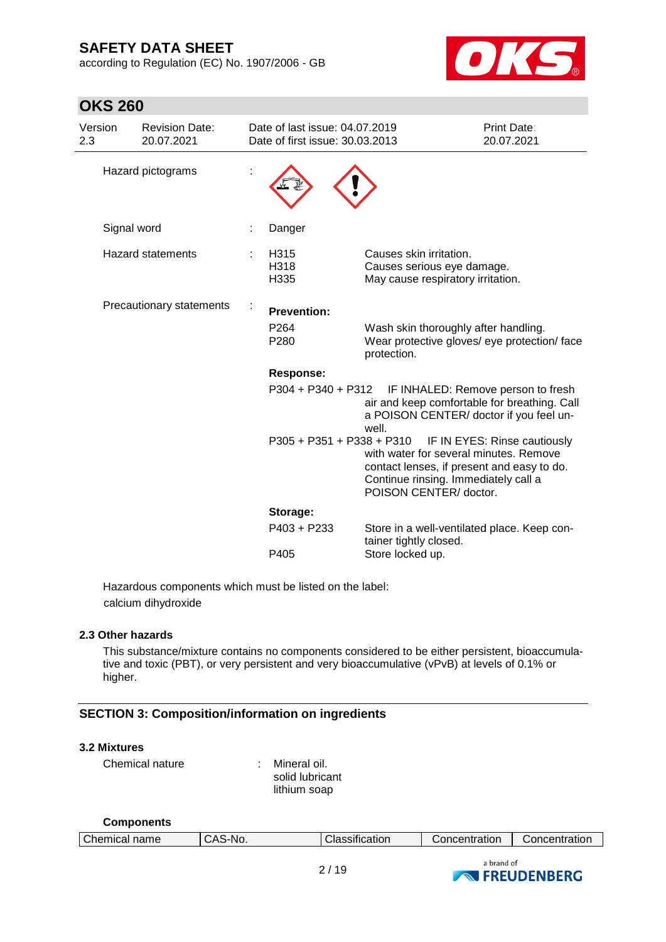**OKS 260**

according to Regulation (EC) No. 1907/2006 - GB



| Version<br>2.3 | <b>Revision Date:</b><br>20.07.2021 | Date of last issue: 04.07.2019<br>Date of first issue: 30.03.2013 |                                                                                                                                                        | <b>Print Date:</b><br>20.07.2021   |
|----------------|-------------------------------------|-------------------------------------------------------------------|--------------------------------------------------------------------------------------------------------------------------------------------------------|------------------------------------|
|                | Hazard pictograms                   |                                                                   |                                                                                                                                                        |                                    |
|                | Signal word                         | Danger                                                            |                                                                                                                                                        |                                    |
|                | <b>Hazard statements</b>            | H315<br>H318<br>H335                                              | Causes skin irritation.<br>Causes serious eye damage.<br>May cause respiratory irritation.                                                             |                                    |
|                | Precautionary statements            | <b>Prevention:</b>                                                |                                                                                                                                                        |                                    |
|                |                                     | P <sub>264</sub><br>P280                                          | Wash skin thoroughly after handling.<br>Wear protective gloves/ eye protection/ face<br>protection.                                                    |                                    |
|                |                                     | <b>Response:</b>                                                  |                                                                                                                                                        |                                    |
|                |                                     | P304 + P340 + P312                                                | air and keep comfortable for breathing. Call<br>a POISON CENTER/ doctor if you feel un-<br>well.                                                       | IF INHALED: Remove person to fresh |
|                |                                     | $P305 + P351 + P338 + P310$                                       | with water for several minutes. Remove<br>contact lenses, if present and easy to do.<br>Continue rinsing. Immediately call a<br>POISON CENTER/ doctor. | IF IN EYES: Rinse cautiously       |
|                |                                     | Storage:                                                          |                                                                                                                                                        |                                    |
|                |                                     | P403 + P233                                                       | Store in a well-ventilated place. Keep con-<br>tainer tightly closed.                                                                                  |                                    |
|                |                                     | P405                                                              | Store locked up.                                                                                                                                       |                                    |

Hazardous components which must be listed on the label: calcium dihydroxide

#### **2.3 Other hazards**

This substance/mixture contains no components considered to be either persistent, bioaccumulative and toxic (PBT), or very persistent and very bioaccumulative (vPvB) at levels of 0.1% or higher.

## **SECTION 3: Composition/information on ingredients**

#### **3.2 Mixtures**

Chemical nature : Mineral oil.

solid lubricant lithium soap

| <b>Components</b>    |         |                |               |               |
|----------------------|---------|----------------|---------------|---------------|
| <b>Chemical name</b> | CAS-No. | Classification | Concentration | Concentration |

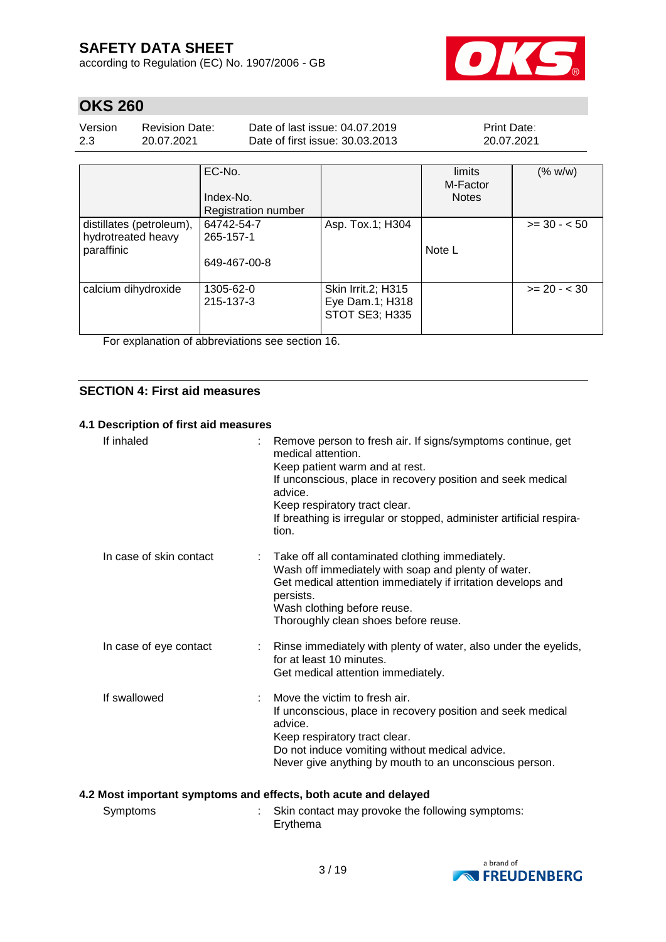according to Regulation (EC) No. 1907/2006 - GB



# **OKS 260**

| Version | Revision Date: | Date of last issue: 04.07.2019  | <b>Print Date:</b> |
|---------|----------------|---------------------------------|--------------------|
| 2.3     | 20.07.2021     | Date of first issue: 30.03.2013 | 20.07.2021         |

|                                                              | EC-No.<br>Index-No.<br>Registration number |                                                         | limits<br>M-Factor<br><b>Notes</b> | (% w/w)        |
|--------------------------------------------------------------|--------------------------------------------|---------------------------------------------------------|------------------------------------|----------------|
| distillates (petroleum),<br>hydrotreated heavy<br>paraffinic | 64742-54-7<br>265-157-1<br>649-467-00-8    | Asp. Tox.1; H304                                        | Note L                             | $>= 30 - 50$   |
| calcium dihydroxide                                          | 1305-62-0<br>215-137-3                     | Skin Irrit.2; H315<br>Eye Dam.1; H318<br>STOT SE3; H335 |                                    | $>= 20 - < 30$ |

For explanation of abbreviations see section 16.

#### **SECTION 4: First aid measures**

#### **4.1 Description of first aid measures**

| If inhaled              | Remove person to fresh air. If signs/symptoms continue, get<br>medical attention.<br>Keep patient warm and at rest.<br>If unconscious, place in recovery position and seek medical<br>advice.<br>Keep respiratory tract clear.<br>If breathing is irregular or stopped, administer artificial respira-<br>tion. |
|-------------------------|-----------------------------------------------------------------------------------------------------------------------------------------------------------------------------------------------------------------------------------------------------------------------------------------------------------------|
| In case of skin contact | : Take off all contaminated clothing immediately.<br>Wash off immediately with soap and plenty of water.<br>Get medical attention immediately if irritation develops and<br>persists.<br>Wash clothing before reuse.<br>Thoroughly clean shoes before reuse.                                                    |
| In case of eye contact  | : Rinse immediately with plenty of water, also under the eyelids,<br>for at least 10 minutes.<br>Get medical attention immediately.                                                                                                                                                                             |
| If swallowed            | Move the victim to fresh air.<br>If unconscious, place in recovery position and seek medical<br>advice.<br>Keep respiratory tract clear.<br>Do not induce vomiting without medical advice.<br>Never give anything by mouth to an unconscious person.                                                            |

### **4.2 Most important symptoms and effects, both acute and delayed**

| Symptoms | Skin contact may provoke the following symptoms: |
|----------|--------------------------------------------------|
|          | Erythema                                         |

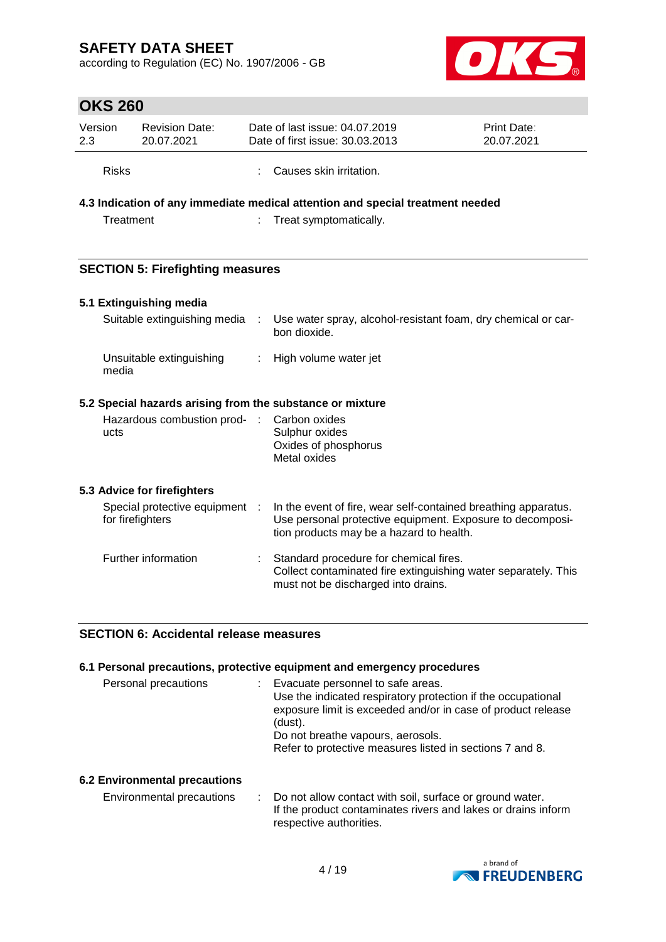according to Regulation (EC) No. 1907/2006 - GB



# **OKS 260**

| Version      | <b>Revision Date:</b> | Date of last issue: 04.07.2019  | <b>Print Date:</b> |
|--------------|-----------------------|---------------------------------|--------------------|
| 2.3          | 20.07.2021            | Date of first issue: 30.03.2013 | 20.07.2021         |
| <b>Risks</b> |                       | : Causes skin irritation.       |                    |

## **4.3 Indication of any immediate medical attention and special treatment needed**

Treatment : Treat symptomatically.

## **SECTION 5: Firefighting measures**

### **5.1 Extinguishing media**

|                                                           | Suitable extinguishing media : Use water spray, alcohol-resistant foam, dry chemical or car-<br>bon dioxide. |
|-----------------------------------------------------------|--------------------------------------------------------------------------------------------------------------|
| Unsuitable extinguishing<br>media                         | : High volume water jet                                                                                      |
| 5.2 Special hazards arising from the substance or mixture |                                                                                                              |
| Hazardous combustion prod- : Carbon oxides<br>ucts        | Sulphur oxides<br>Oxides of phosphorus<br>Metal oxides                                                       |

#### **5.3 Advice for firefighters**

| Special protective equipment :<br>for firefighters |    | In the event of fire, wear self-contained breathing apparatus.<br>Use personal protective equipment. Exposure to decomposi-<br>tion products may be a hazard to health. |
|----------------------------------------------------|----|-------------------------------------------------------------------------------------------------------------------------------------------------------------------------|
| Further information                                | ÷. | Standard procedure for chemical fires.<br>Collect contaminated fire extinguishing water separately. This<br>must not be discharged into drains.                         |

## **SECTION 6: Accidental release measures**

|                      | 6.1 Personal precautions, protective equipment and emergency procedures                                                                                                                                                                                                         |
|----------------------|---------------------------------------------------------------------------------------------------------------------------------------------------------------------------------------------------------------------------------------------------------------------------------|
| Personal precautions | : Evacuate personnel to safe areas.<br>Use the indicated respiratory protection if the occupational<br>exposure limit is exceeded and/or in case of product release<br>(dust).<br>Do not breathe vapours, aerosols.<br>Refer to protective measures listed in sections 7 and 8. |

## **6.2 Environmental precautions**

Environmental precautions : Do not allow contact with soil, surface or ground water. If the product contaminates rivers and lakes or drains inform respective authorities.

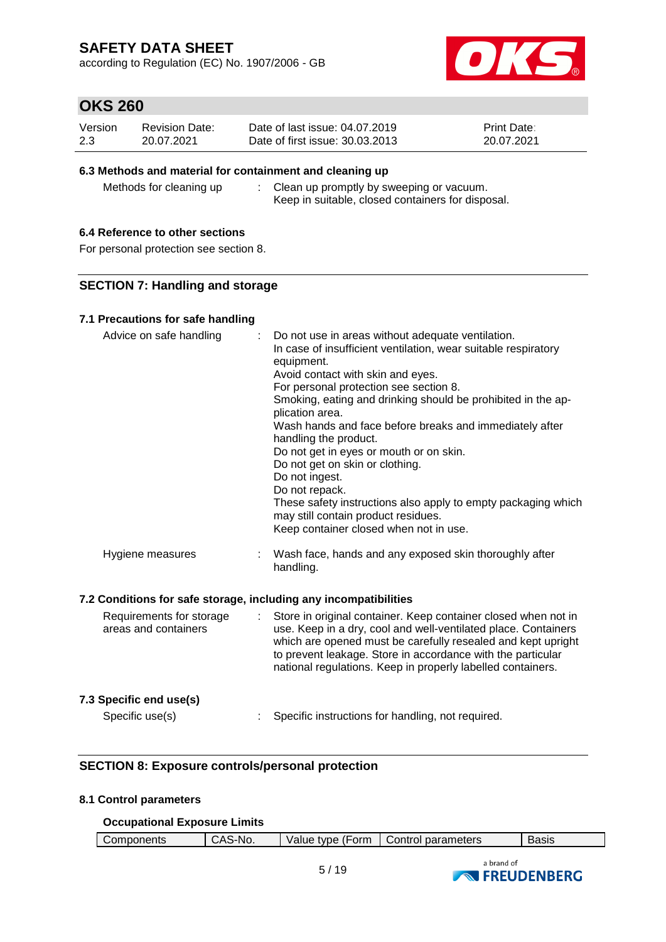according to Regulation (EC) No. 1907/2006 - GB



# **OKS 260**

| Version | <b>Revision Date:</b> | Date of last issue: 04.07.2019  | <b>Print Date:</b> |
|---------|-----------------------|---------------------------------|--------------------|
| 2.3     | 20.07.2021            | Date of first issue: 30.03.2013 | 20.07.2021         |

### **6.3 Methods and material for containment and cleaning up**

Methods for cleaning up : Clean up promptly by sweeping or vacuum. Keep in suitable, closed containers for disposal.

### **6.4 Reference to other sections**

For personal protection see section 8.

### **SECTION 7: Handling and storage**

### **7.1 Precautions for safe handling**

| Advice on safe handling                                          |                            | Do not use in areas without adequate ventilation.<br>In case of insufficient ventilation, wear suitable respiratory<br>equipment.<br>Avoid contact with skin and eyes.<br>For personal protection see section 8.<br>Smoking, eating and drinking should be prohibited in the ap-<br>plication area.<br>Wash hands and face before breaks and immediately after<br>handling the product.<br>Do not get in eyes or mouth or on skin.<br>Do not get on skin or clothing.<br>Do not ingest.<br>Do not repack.<br>These safety instructions also apply to empty packaging which<br>may still contain product residues.<br>Keep container closed when not in use. |
|------------------------------------------------------------------|----------------------------|-------------------------------------------------------------------------------------------------------------------------------------------------------------------------------------------------------------------------------------------------------------------------------------------------------------------------------------------------------------------------------------------------------------------------------------------------------------------------------------------------------------------------------------------------------------------------------------------------------------------------------------------------------------|
| Hygiene measures                                                 |                            | Wash face, hands and any exposed skin thoroughly after<br>handling.                                                                                                                                                                                                                                                                                                                                                                                                                                                                                                                                                                                         |
| 7.2 Conditions for safe storage, including any incompatibilities |                            |                                                                                                                                                                                                                                                                                                                                                                                                                                                                                                                                                                                                                                                             |
| Requirements for storage<br>areas and containers                 | $\mathcal{L}^{\text{max}}$ | Store in original container. Keep container closed when not in<br>use. Keep in a dry, cool and well-ventilated place. Containers<br>which are opened must be carefully resealed and kept upright<br>to prevent leakage. Store in accordance with the particular                                                                                                                                                                                                                                                                                                                                                                                             |

## **7.3 Specific end use(s)**

Specific use(s) : Specific instructions for handling, not required.

national regulations. Keep in properly labelled containers.

## **SECTION 8: Exposure controls/personal protection**

#### **8.1 Control parameters**

#### **Occupational Exposure Limits**

| Components | S-No.<br>CAS- | Value type (Form | Control parameters | Basis |
|------------|---------------|------------------|--------------------|-------|
|            |               |                  |                    |       |
|            |               |                  | a hrand of         |       |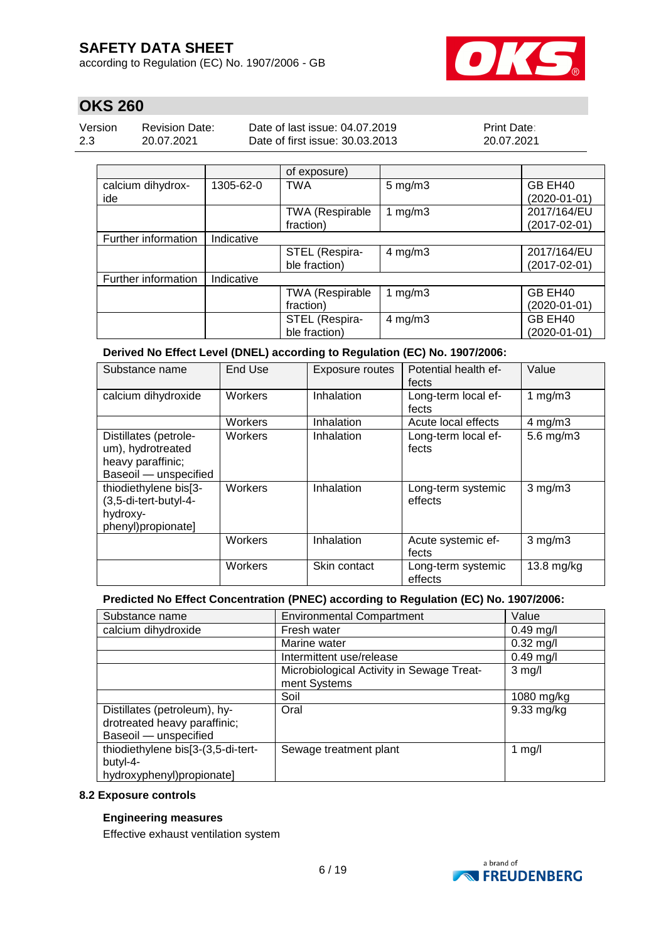according to Regulation (EC) No. 1907/2006 - GB



# **OKS 260**

| Version | <b>Revision Date:</b> | Date of last issue: 04.07.2019  | <b>Print Date:</b> |
|---------|-----------------------|---------------------------------|--------------------|
| 2.3     | 20.07.2021            | Date of first issue: 30.03.2013 | 20.07.2021         |

|                     |            | of exposure)           |                    |                    |
|---------------------|------------|------------------------|--------------------|--------------------|
| calcium dihydrox-   | 1305-62-0  | <b>TWA</b>             | $5 \text{ mg/m}$ 3 | GB EH40            |
| ide                 |            |                        |                    | $(2020-01-01)$     |
|                     |            | <b>TWA (Respirable</b> | 1 $mg/m3$          | 2017/164/EU        |
|                     |            | fraction)              |                    | $(2017 - 02 - 01)$ |
| Further information | Indicative |                        |                    |                    |
|                     |            | STEL (Respira-         | $4$ mg/m $3$       | 2017/164/EU        |
|                     |            | ble fraction)          |                    | $(2017 - 02 - 01)$ |
| Further information | Indicative |                        |                    |                    |
|                     |            | <b>TWA (Respirable</b> | 1 $mg/m3$          | GB EH40            |
|                     |            | fraction)              |                    | (2020-01-01)       |
|                     |            | STEL (Respira-         | $4$ mg/m $3$       | GB EH40            |
|                     |            | ble fraction)          |                    | (2020-01-01)       |

**Derived No Effect Level (DNEL) according to Regulation (EC) No. 1907/2006:**

| Substance name                                                                           | End Use | Exposure routes | Potential health ef-<br>fects | Value              |
|------------------------------------------------------------------------------------------|---------|-----------------|-------------------------------|--------------------|
| calcium dihydroxide                                                                      | Workers | Inhalation      | Long-term local ef-<br>fects  | 1 $mg/m3$          |
|                                                                                          | Workers | Inhalation      | Acute local effects           | $4 \text{ mg/m}$ 3 |
| Distillates (petrole-<br>um), hydrotreated<br>heavy paraffinic;<br>Baseoil - unspecified | Workers | Inhalation      | Long-term local ef-<br>fects  | 5.6 mg/m3          |
| thiodiethylene bis[3-<br>(3,5-di-tert-butyl-4-<br>hydroxy-<br>phenyl)propionate]         | Workers | Inhalation      | Long-term systemic<br>effects | $3$ mg/m $3$       |
|                                                                                          | Workers | Inhalation      | Acute systemic ef-<br>fects   | $3$ mg/m $3$       |
|                                                                                          | Workers | Skin contact    | Long-term systemic<br>effects | $13.8$ mg/kg       |

## **Predicted No Effect Concentration (PNEC) according to Regulation (EC) No. 1907/2006:**

| Substance name                                                                        | <b>Environmental Compartment</b>                          | Value            |
|---------------------------------------------------------------------------------------|-----------------------------------------------------------|------------------|
| calcium dihydroxide                                                                   | Fresh water                                               | $0.49$ mg/l      |
|                                                                                       | Marine water                                              | $0.32$ mg/l      |
|                                                                                       | Intermittent use/release                                  | $0.49$ mg/l      |
|                                                                                       | Microbiological Activity in Sewage Treat-<br>ment Systems | $3 \text{ mg/l}$ |
|                                                                                       | Soil                                                      | 1080 mg/kg       |
| Distillates (petroleum), hy-<br>drotreated heavy paraffinic;<br>Baseoil - unspecified | Oral                                                      | 9.33 mg/kg       |
| thiodiethylene bis[3-(3,5-di-tert-<br>butyl-4-<br>hydroxyphenyl)propionate]           | Sewage treatment plant                                    | 1 $mg/l$         |

### **8.2 Exposure controls**

### **Engineering measures**

Effective exhaust ventilation system

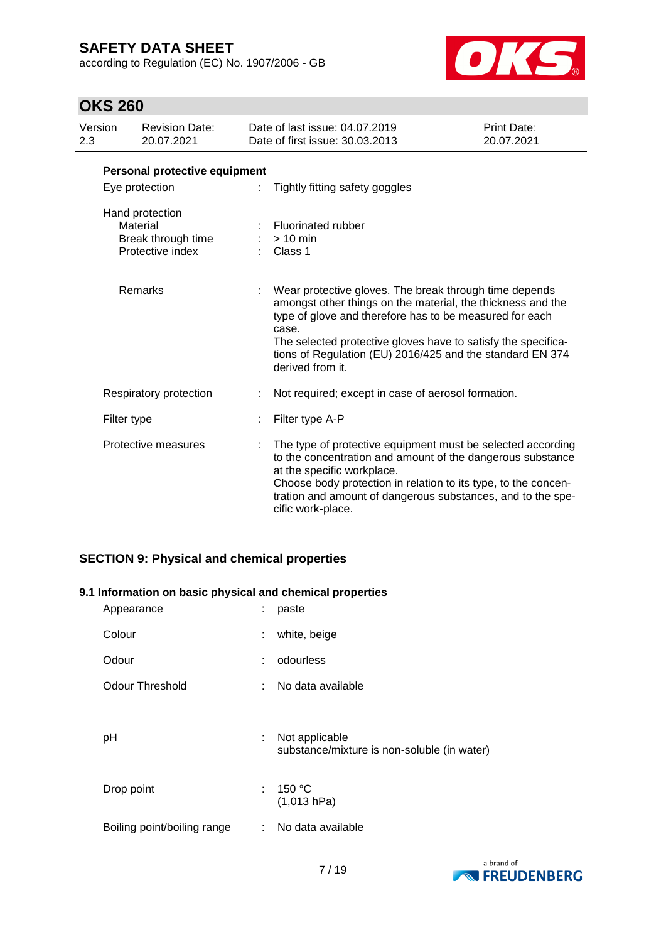according to Regulation (EC) No. 1907/2006 - GB



# **OKS 260**

| Version<br>2.3 |             | <b>Revision Date:</b><br>20.07.2021                                   | Date of last issue: 04.07.2019<br>Date of first issue: 30.03.2013                                                                                                                                                                                                                                                                           | Print Date:<br>20.07.2021 |  |  |
|----------------|-------------|-----------------------------------------------------------------------|---------------------------------------------------------------------------------------------------------------------------------------------------------------------------------------------------------------------------------------------------------------------------------------------------------------------------------------------|---------------------------|--|--|
|                |             | Personal protective equipment                                         |                                                                                                                                                                                                                                                                                                                                             |                           |  |  |
|                |             | Eye protection                                                        | Tightly fitting safety goggles                                                                                                                                                                                                                                                                                                              |                           |  |  |
|                |             | Hand protection<br>Material<br>Break through time<br>Protective index | Fluorinated rubber<br>$> 10$ min<br>Class 1                                                                                                                                                                                                                                                                                                 |                           |  |  |
|                |             | Remarks                                                               | Wear protective gloves. The break through time depends<br>amongst other things on the material, the thickness and the<br>type of glove and therefore has to be measured for each<br>case.<br>The selected protective gloves have to satisfy the specifica-<br>tions of Regulation (EU) 2016/425 and the standard EN 374<br>derived from it. |                           |  |  |
|                |             | Respiratory protection                                                | Not required; except in case of aerosol formation.                                                                                                                                                                                                                                                                                          |                           |  |  |
|                | Filter type |                                                                       | Filter type A-P                                                                                                                                                                                                                                                                                                                             |                           |  |  |
|                |             | Protective measures                                                   | The type of protective equipment must be selected according<br>to the concentration and amount of the dangerous substance<br>at the specific workplace.<br>Choose body protection in relation to its type, to the concen-<br>tration and amount of dangerous substances, and to the spe-<br>cific work-place.                               |                           |  |  |

## **SECTION 9: Physical and chemical properties**

#### **9.1 Information on basic physical and chemical properties**

| Appearance                  | ÷ | paste                                                         |
|-----------------------------|---|---------------------------------------------------------------|
| Colour                      | ÷ | white, beige                                                  |
| Odour                       | ÷ | odourless                                                     |
| <b>Odour Threshold</b>      | ÷ | No data available                                             |
| рH                          | ÷ | Not applicable<br>substance/mixture is non-soluble (in water) |
| Drop point                  | ÷ | 150 °C<br>(1,013 hPa)                                         |
| Boiling point/boiling range | ÷ | No data available                                             |
|                             |   |                                                               |

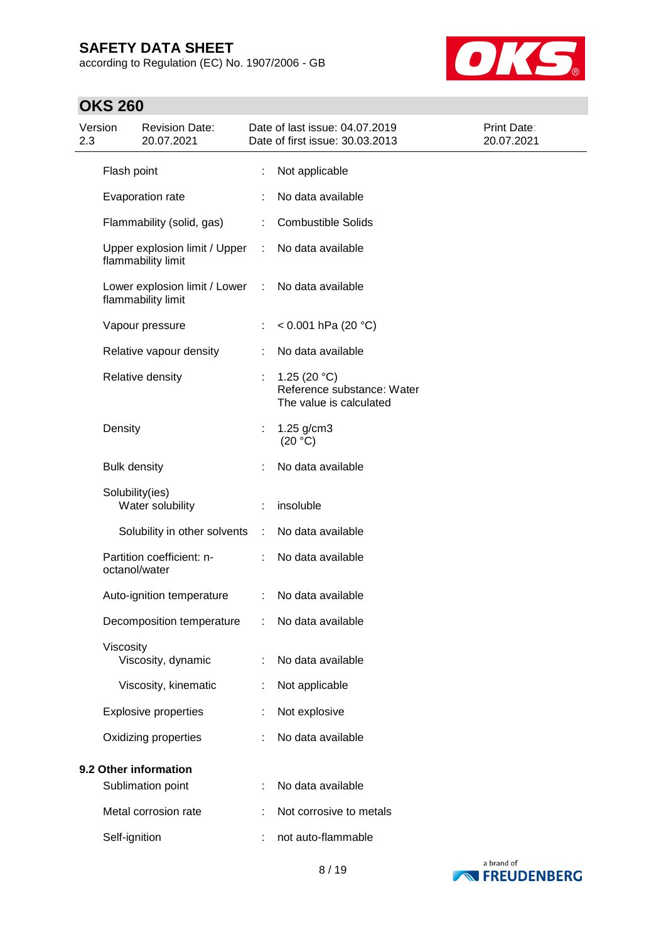according to Regulation (EC) No. 1907/2006 - GB



| Version<br>2.3 |                     | <b>Revision Date:</b><br>20.07.2021                 |                       | Date of last issue: 04.07.2019<br>Date of first issue: 30.03.2013       | Print Date:<br>20.07.2021 |
|----------------|---------------------|-----------------------------------------------------|-----------------------|-------------------------------------------------------------------------|---------------------------|
|                | Flash point         |                                                     | ÷                     | Not applicable                                                          |                           |
|                |                     | Evaporation rate                                    |                       | No data available                                                       |                           |
|                |                     | Flammability (solid, gas)                           |                       | <b>Combustible Solids</b>                                               |                           |
|                |                     | Upper explosion limit / Upper<br>flammability limit | ÷                     | No data available                                                       |                           |
|                |                     | Lower explosion limit / Lower<br>flammability limit | ÷                     | No data available                                                       |                           |
|                |                     | Vapour pressure                                     |                       | < 0.001 hPa (20 $^{\circ}$ C)                                           |                           |
|                |                     | Relative vapour density                             |                       | No data available                                                       |                           |
|                |                     | Relative density                                    | ÷.                    | 1.25 $(20 °C)$<br>Reference substance: Water<br>The value is calculated |                           |
|                | Density             |                                                     | $\mathbb{Z}^{\times}$ | 1.25 g/cm3<br>(20 °C)                                                   |                           |
|                | <b>Bulk density</b> |                                                     |                       | No data available                                                       |                           |
|                | Solubility(ies)     | Water solubility                                    |                       | insoluble                                                               |                           |
|                |                     | Solubility in other solvents                        | $\sim 10$             | No data available                                                       |                           |
|                | octanol/water       | Partition coefficient: n-                           | ÷                     | No data available                                                       |                           |
|                |                     | Auto-ignition temperature                           | ÷.                    | No data available                                                       |                           |
|                |                     | Decomposition temperature                           |                       | No data available                                                       |                           |
|                | Viscosity           | Viscosity, dynamic                                  |                       | No data available                                                       |                           |
|                |                     | Viscosity, kinematic                                | ÷                     | Not applicable                                                          |                           |
|                |                     | <b>Explosive properties</b>                         |                       | Not explosive                                                           |                           |
|                |                     | Oxidizing properties                                |                       | No data available                                                       |                           |
|                |                     | 9.2 Other information<br>Sublimation point          |                       | No data available                                                       |                           |
|                |                     | Metal corrosion rate                                |                       | Not corrosive to metals                                                 |                           |
|                | Self-ignition       |                                                     |                       | not auto-flammable                                                      |                           |
|                |                     |                                                     |                       |                                                                         |                           |

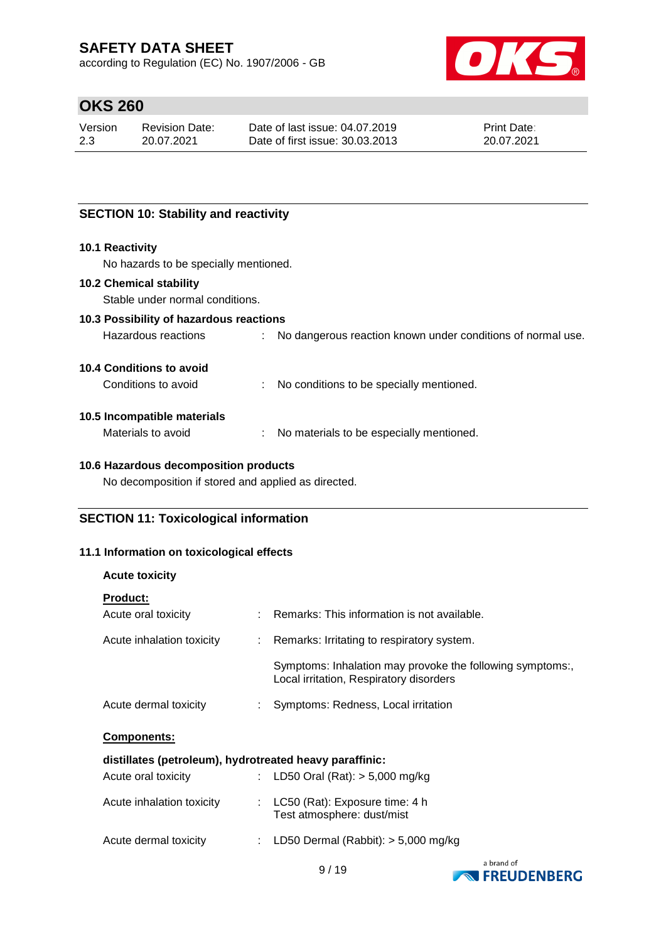according to Regulation (EC) No. 1907/2006 - GB



# **OKS 260**

| Version | Revision Date: | Date of last issue: 04.07.2019  | <b>Print Date:</b> |
|---------|----------------|---------------------------------|--------------------|
| 2.3     | 20.07.2021     | Date of first issue: 30.03.2013 | 20.07.2021         |

## **SECTION 10: Stability and reactivity**

#### **10.1 Reactivity**

No hazards to be specially mentioned.

#### **10.2 Chemical stability**

Stable under normal conditions.

## **10.3 Possibility of hazardous reactions**

| Hazardous reactions |  | No dangerous reaction known under conditions of normal use. |
|---------------------|--|-------------------------------------------------------------|
|---------------------|--|-------------------------------------------------------------|

#### **10.4 Conditions to avoid**

Conditions to avoid : No conditions to be specially mentioned.

#### **10.5 Incompatible materials**

Materials to avoid : No materials to be especially mentioned.

### **10.6 Hazardous decomposition products**

No decomposition if stored and applied as directed.

## **SECTION 11: Toxicological information**

#### **11.1 Information on toxicological effects**

#### **Acute toxicity**

| <b>Product:</b>                                         |                                                                                                      |
|---------------------------------------------------------|------------------------------------------------------------------------------------------------------|
| Acute oral toxicity                                     | : Remarks: This information is not available.                                                        |
| Acute inhalation toxicity                               | $\therefore$ Remarks: Irritating to respiratory system.                                              |
|                                                         | Symptoms: Inhalation may provoke the following symptoms:,<br>Local irritation, Respiratory disorders |
| Acute dermal toxicity                                   | : Symptoms: Redness, Local irritation                                                                |
|                                                         |                                                                                                      |
| <b>Components:</b>                                      |                                                                                                      |
| distillates (petroleum), hydrotreated heavy paraffinic: |                                                                                                      |
| Acute oral toxicity                                     | : LD50 Oral (Rat): $>$ 5,000 mg/kg                                                                   |
| Acute inhalation toxicity                               | : $LC50$ (Rat): Exposure time: 4 h<br>Test atmosphere: dust/mist                                     |

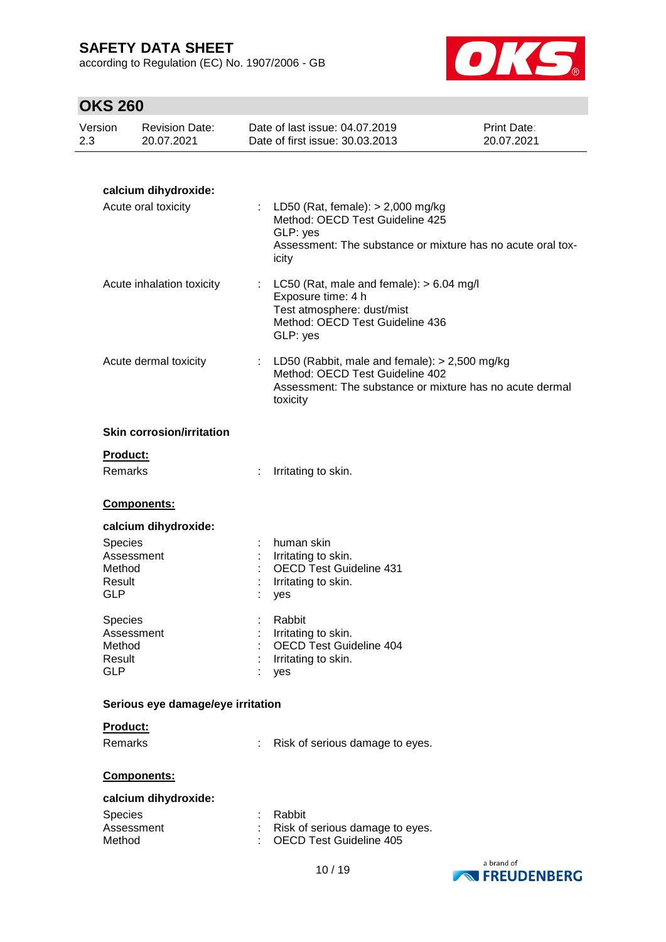according to Regulation (EC) No. 1907/2006 - GB



| Version<br>2.3                 | <b>Revision Date:</b><br>20.07.2021           |   | Date of last issue: 04.07.2019<br>Date of first issue: 30.03.2013                                                                                            | <b>Print Date:</b><br>20.07.2021 |
|--------------------------------|-----------------------------------------------|---|--------------------------------------------------------------------------------------------------------------------------------------------------------------|----------------------------------|
|                                | calcium dihydroxide:<br>Acute oral toxicity   |   | : LD50 (Rat, female): $> 2,000$ mg/kg<br>Method: OECD Test Guideline 425<br>GLP: yes<br>Assessment: The substance or mixture has no acute oral tox-<br>icity |                                  |
|                                | Acute inhalation toxicity                     |   | LC50 (Rat, male and female): $> 6.04$ mg/l<br>Exposure time: 4 h<br>Test atmosphere: dust/mist<br>Method: OECD Test Guideline 436<br>GLP: yes                |                                  |
|                                | Acute dermal toxicity                         |   | : LD50 (Rabbit, male and female): $> 2,500$ mg/kg<br>Method: OECD Test Guideline 402<br>Assessment: The substance or mixture has no acute dermal<br>toxicity |                                  |
|                                | <b>Skin corrosion/irritation</b>              |   |                                                                                                                                                              |                                  |
|                                | Product:<br>Remarks                           | ÷ | Irritating to skin.                                                                                                                                          |                                  |
|                                | Components:                                   |   |                                                                                                                                                              |                                  |
| Method<br>Result<br><b>GLP</b> | calcium dihydroxide:<br>Species<br>Assessment |   | human skin<br>Irritating to skin.<br><b>OECD Test Guideline 431</b><br>Irritating to skin.<br>yes                                                            |                                  |
| Method<br>Result<br><b>GLP</b> | Species<br>Assessment                         |   | Rabbit<br>Irritating to skin.<br>OECD Test Guideline 404<br>Irritating to skin.<br>yes                                                                       |                                  |
|                                | Serious eye damage/eye irritation             |   |                                                                                                                                                              |                                  |
|                                | Product:<br>Remarks                           |   | Risk of serious damage to eyes.                                                                                                                              |                                  |
|                                | Components:                                   |   |                                                                                                                                                              |                                  |
|                                | calcium dihydroxide:                          |   |                                                                                                                                                              |                                  |
| Method                         | Species<br>Assessment                         |   | Rabbit<br>Risk of serious damage to eyes.<br><b>OECD Test Guideline 405</b>                                                                                  |                                  |

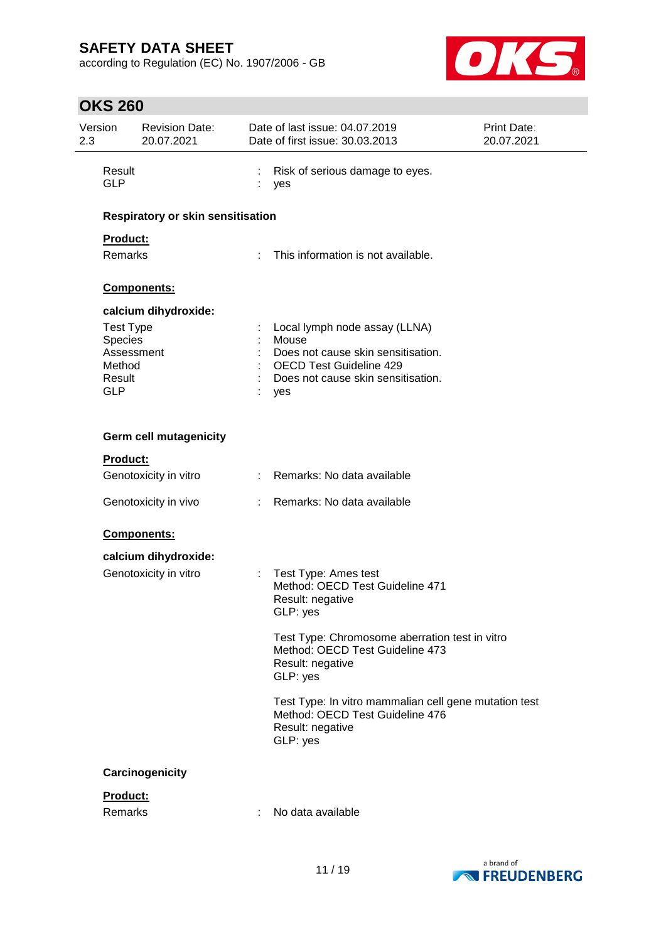according to Regulation (EC) No. 1907/2006 - GB



| Version<br>2.3 |                             | <b>Revision Date:</b><br>20.07.2021 |    | Date of last issue: 04.07.2019<br>Date of first issue: 30.03.2013                                                        | <b>Print Date:</b><br>20.07.2021 |
|----------------|-----------------------------|-------------------------------------|----|--------------------------------------------------------------------------------------------------------------------------|----------------------------------|
|                | Result<br><b>GLP</b>        |                                     |    | Risk of serious damage to eyes.<br>yes                                                                                   |                                  |
|                |                             | Respiratory or skin sensitisation   |    |                                                                                                                          |                                  |
|                | Product:                    |                                     |    |                                                                                                                          |                                  |
|                | <b>Remarks</b>              |                                     | ÷. | This information is not available.                                                                                       |                                  |
|                |                             | Components:                         |    |                                                                                                                          |                                  |
|                |                             | calcium dihydroxide:                |    |                                                                                                                          |                                  |
|                | <b>Test Type</b><br>Species |                                     |    | Local lymph node assay (LLNA)<br>Mouse                                                                                   |                                  |
|                | Assessment                  |                                     |    | Does not cause skin sensitisation.                                                                                       |                                  |
|                | Method<br>Result            |                                     |    | <b>OECD Test Guideline 429</b><br>Does not cause skin sensitisation.                                                     |                                  |
|                | <b>GLP</b>                  |                                     |    | yes                                                                                                                      |                                  |
|                |                             |                                     |    |                                                                                                                          |                                  |
|                |                             | <b>Germ cell mutagenicity</b>       |    |                                                                                                                          |                                  |
|                | <b>Product:</b>             |                                     |    | : Remarks: No data available                                                                                             |                                  |
|                |                             | Genotoxicity in vitro               |    |                                                                                                                          |                                  |
|                |                             | Genotoxicity in vivo                | t. | Remarks: No data available                                                                                               |                                  |
|                |                             | Components:                         |    |                                                                                                                          |                                  |
|                |                             | calcium dihydroxide:                |    |                                                                                                                          |                                  |
|                |                             | Genotoxicity in vitro               |    | Test Type: Ames test<br>Method: OECD Test Guideline 471<br>Result: negative<br>GLP: yes                                  |                                  |
|                |                             |                                     |    | Test Type: Chromosome aberration test in vitro<br>Method: OECD Test Guideline 473<br>Result: negative<br>GLP: yes        |                                  |
|                |                             |                                     |    | Test Type: In vitro mammalian cell gene mutation test<br>Method: OECD Test Guideline 476<br>Result: negative<br>GLP: yes |                                  |
|                |                             | Carcinogenicity                     |    |                                                                                                                          |                                  |
|                | Product:                    |                                     |    |                                                                                                                          |                                  |
|                | <b>Remarks</b>              |                                     | ÷  | No data available                                                                                                        |                                  |

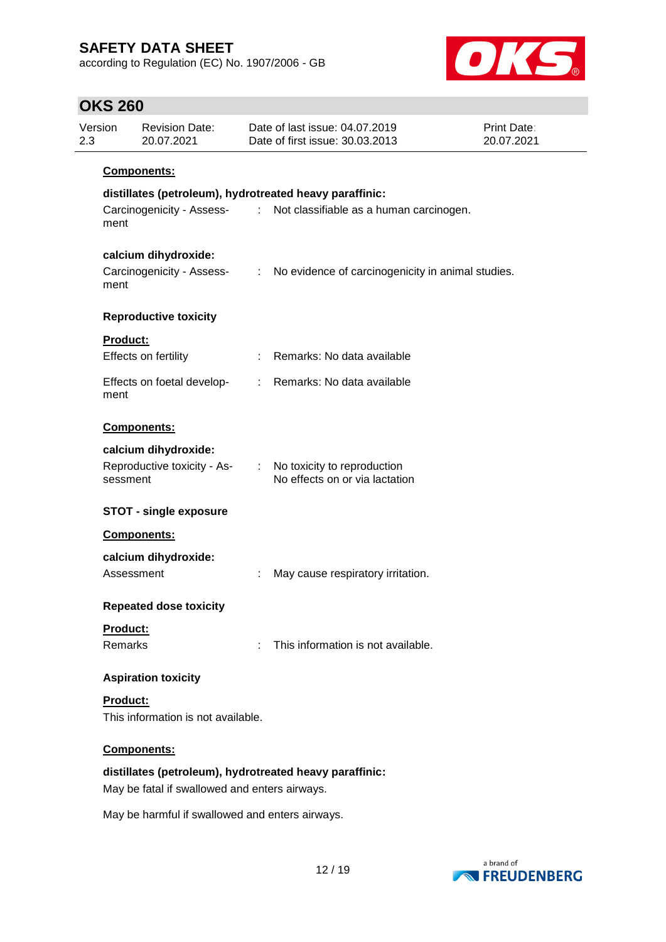according to Regulation (EC) No. 1907/2006 - GB



# **OKS 260**

| <b>Reproductive toxicity</b>       | distillates (petroleum), hydrotreated heavy paraffinic:<br>Carcinogenicity - Assess- : Not classifiable as a human carcinogen.<br>Carcinogenicity - Assess- : No evidence of carcinogenicity in animal studies. |                                                         |
|------------------------------------|-----------------------------------------------------------------------------------------------------------------------------------------------------------------------------------------------------------------|---------------------------------------------------------|
|                                    |                                                                                                                                                                                                                 |                                                         |
|                                    |                                                                                                                                                                                                                 |                                                         |
|                                    |                                                                                                                                                                                                                 |                                                         |
|                                    |                                                                                                                                                                                                                 |                                                         |
|                                    |                                                                                                                                                                                                                 |                                                         |
|                                    |                                                                                                                                                                                                                 |                                                         |
|                                    |                                                                                                                                                                                                                 |                                                         |
|                                    | Remarks: No data available                                                                                                                                                                                      |                                                         |
| Effects on foetal develop-         | : Remarks: No data available                                                                                                                                                                                    |                                                         |
|                                    |                                                                                                                                                                                                                 |                                                         |
|                                    |                                                                                                                                                                                                                 |                                                         |
| Reproductive toxicity - As-        | : No toxicity to reproduction<br>No effects on or via lactation                                                                                                                                                 |                                                         |
| <b>STOT - single exposure</b>      |                                                                                                                                                                                                                 |                                                         |
|                                    |                                                                                                                                                                                                                 |                                                         |
|                                    |                                                                                                                                                                                                                 |                                                         |
|                                    | May cause respiratory irritation.                                                                                                                                                                               |                                                         |
| <b>Repeated dose toxicity</b>      |                                                                                                                                                                                                                 |                                                         |
|                                    |                                                                                                                                                                                                                 |                                                         |
|                                    | This information is not available.                                                                                                                                                                              |                                                         |
|                                    |                                                                                                                                                                                                                 |                                                         |
|                                    |                                                                                                                                                                                                                 |                                                         |
| This information is not available. |                                                                                                                                                                                                                 |                                                         |
|                                    |                                                                                                                                                                                                                 |                                                         |
|                                    |                                                                                                                                                                                                                 | distillates (petroleum), hydrotreated heavy paraffinic: |

May be harmful if swallowed and enters airways.

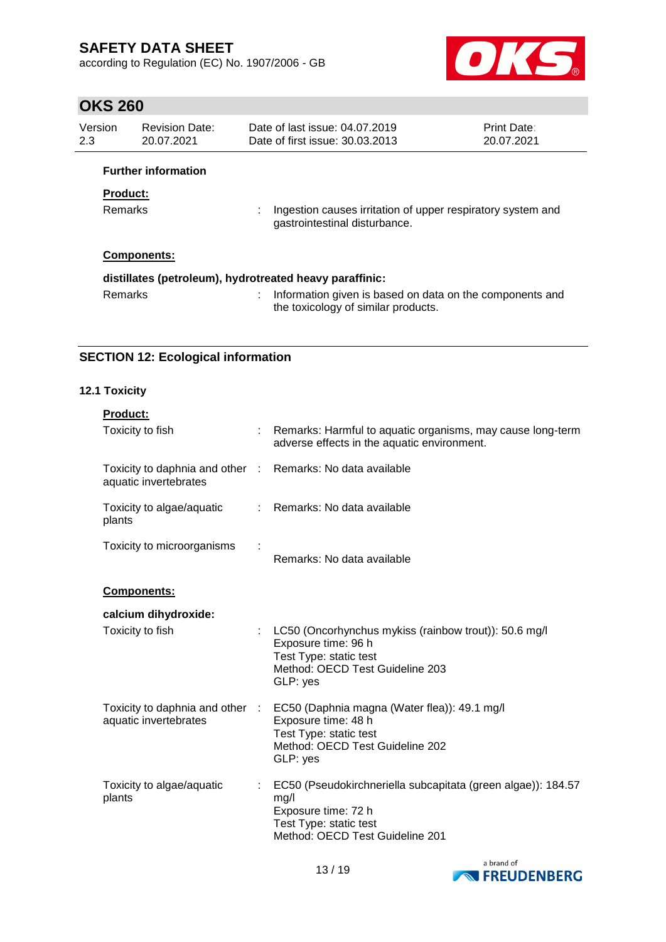according to Regulation (EC) No. 1907/2006 - GB



# **OKS 260**

| Version<br>2.3  | <b>Revision Date:</b><br>20.07.2021 | Date of last issue: 04.07.2019<br>Date of first issue: 30.03.2013                               | <b>Print Date:</b><br>20.07.2021 |
|-----------------|-------------------------------------|-------------------------------------------------------------------------------------------------|----------------------------------|
|                 | <b>Further information</b>          |                                                                                                 |                                  |
| <b>Product:</b> |                                     |                                                                                                 |                                  |
| Remarks         |                                     | Ingestion causes irritation of upper respiratory system and<br>gastrointestinal disturbance.    |                                  |
|                 | <b>Components:</b>                  |                                                                                                 |                                  |
|                 |                                     | distillates (petroleum), hydrotreated heavy paraffinic:                                         |                                  |
| <b>Remarks</b>  |                                     | Information given is based on data on the components and<br>the toxicology of similar products. |                                  |

## **SECTION 12: Ecological information**

### **12.1 Toxicity**

| <b>Product:</b>                                                                     |    |                                                                                                                                                          |
|-------------------------------------------------------------------------------------|----|----------------------------------------------------------------------------------------------------------------------------------------------------------|
| Toxicity to fish                                                                    | ÷. | Remarks: Harmful to aquatic organisms, may cause long-term<br>adverse effects in the aquatic environment.                                                |
| Toxicity to daphnia and other : Remarks: No data available<br>aquatic invertebrates |    |                                                                                                                                                          |
| Toxicity to algae/aquatic<br>plants                                                 | t. | Remarks: No data available                                                                                                                               |
| Toxicity to microorganisms                                                          |    | Remarks: No data available                                                                                                                               |
| Components:                                                                         |    |                                                                                                                                                          |
| calcium dihydroxide:                                                                |    |                                                                                                                                                          |
| Toxicity to fish                                                                    | ÷  | LC50 (Oncorhynchus mykiss (rainbow trout)): 50.6 mg/l<br>Exposure time: 96 h<br>Test Type: static test<br>Method: OECD Test Guideline 203<br>GLP: yes    |
| Toxicity to daphnia and other :<br>aquatic invertebrates                            |    | EC50 (Daphnia magna (Water flea)): 49.1 mg/l<br>Exposure time: 48 h<br>Test Type: static test<br>Method: OECD Test Guideline 202<br>GLP: yes             |
| Toxicity to algae/aquatic<br>plants                                                 |    | EC50 (Pseudokirchneriella subcapitata (green algae)): 184.57<br>mg/l<br>Exposure time: 72 h<br>Test Type: static test<br>Method: OECD Test Guideline 201 |

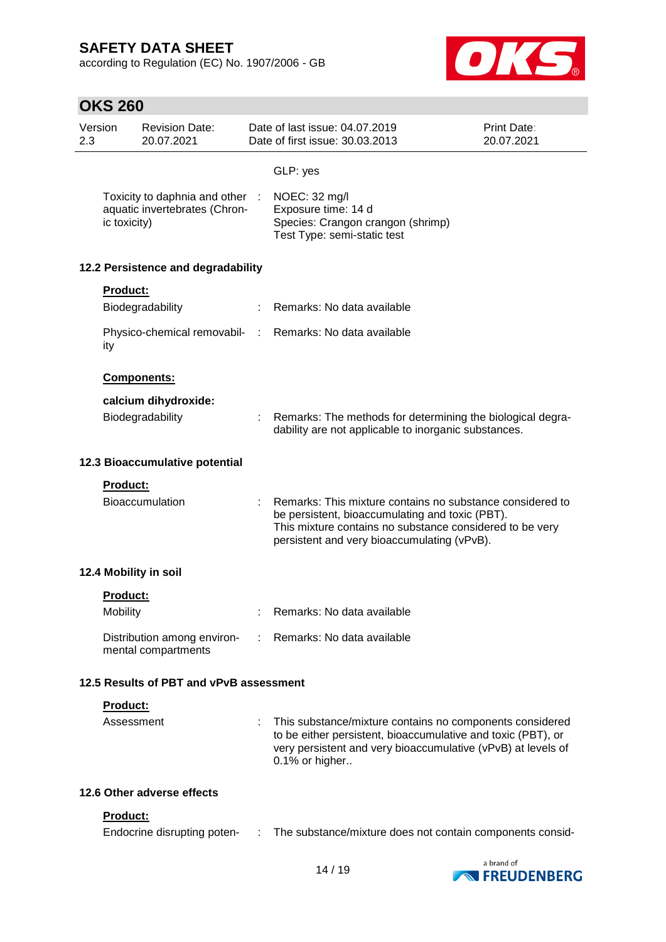according to Regulation (EC) No. 1907/2006 - GB



| Version<br>2.3                          |                 | <b>Revision Date:</b><br>20.07.2021                            |   | Date of last issue: 04.07.2019<br>Date of first issue: 30.03.2013   |                                                                                                                                                                                                                         | Print Date:<br>20.07.2021 |
|-----------------------------------------|-----------------|----------------------------------------------------------------|---|---------------------------------------------------------------------|-------------------------------------------------------------------------------------------------------------------------------------------------------------------------------------------------------------------------|---------------------------|
|                                         |                 |                                                                |   | GLP: yes                                                            |                                                                                                                                                                                                                         |                           |
|                                         |                 |                                                                |   |                                                                     |                                                                                                                                                                                                                         |                           |
|                                         | ic toxicity)    | Toxicity to daphnia and other<br>aquatic invertebrates (Chron- |   | NOEC: 32 mg/l<br>Exposure time: 14 d<br>Test Type: semi-static test | Species: Crangon crangon (shrimp)                                                                                                                                                                                       |                           |
|                                         |                 | 12.2 Persistence and degradability                             |   |                                                                     |                                                                                                                                                                                                                         |                           |
|                                         | <b>Product:</b> |                                                                |   |                                                                     |                                                                                                                                                                                                                         |                           |
|                                         |                 | Biodegradability                                               |   | Remarks: No data available                                          |                                                                                                                                                                                                                         |                           |
|                                         | ity             | Physico-chemical removabil- :                                  |   | Remarks: No data available                                          |                                                                                                                                                                                                                         |                           |
|                                         |                 | Components:                                                    |   |                                                                     |                                                                                                                                                                                                                         |                           |
|                                         |                 | calcium dihydroxide:                                           |   |                                                                     |                                                                                                                                                                                                                         |                           |
|                                         |                 | Biodegradability                                               |   |                                                                     | Remarks: The methods for determining the biological degra-<br>dability are not applicable to inorganic substances.                                                                                                      |                           |
|                                         |                 | 12.3 Bioaccumulative potential                                 |   |                                                                     |                                                                                                                                                                                                                         |                           |
|                                         | <b>Product:</b> |                                                                |   |                                                                     |                                                                                                                                                                                                                         |                           |
|                                         |                 | <b>Bioaccumulation</b>                                         |   |                                                                     | Remarks: This mixture contains no substance considered to<br>be persistent, bioaccumulating and toxic (PBT).<br>This mixture contains no substance considered to be very<br>persistent and very bioaccumulating (vPvB). |                           |
|                                         |                 | 12.4 Mobility in soil                                          |   |                                                                     |                                                                                                                                                                                                                         |                           |
|                                         | <b>Product:</b> |                                                                |   |                                                                     |                                                                                                                                                                                                                         |                           |
|                                         | Mobility        |                                                                |   | Remarks: No data available                                          |                                                                                                                                                                                                                         |                           |
|                                         |                 | Distribution among environ-<br>mental compartments             | ÷ | Remarks: No data available                                          |                                                                                                                                                                                                                         |                           |
| 12.5 Results of PBT and vPvB assessment |                 |                                                                |   |                                                                     |                                                                                                                                                                                                                         |                           |
|                                         | Product:        |                                                                |   |                                                                     |                                                                                                                                                                                                                         |                           |
|                                         | Assessment      |                                                                |   | 0.1% or higher                                                      | This substance/mixture contains no components considered<br>to be either persistent, bioaccumulative and toxic (PBT), or<br>very persistent and very bioaccumulative (vPvB) at levels of                                |                           |
|                                         |                 | 12.6 Other adverse effects                                     |   |                                                                     |                                                                                                                                                                                                                         |                           |
|                                         | Product:        |                                                                |   |                                                                     |                                                                                                                                                                                                                         |                           |
|                                         |                 | Endocrine disrupting poten-                                    |   |                                                                     | The substance/mixture does not contain components consid-                                                                                                                                                               |                           |

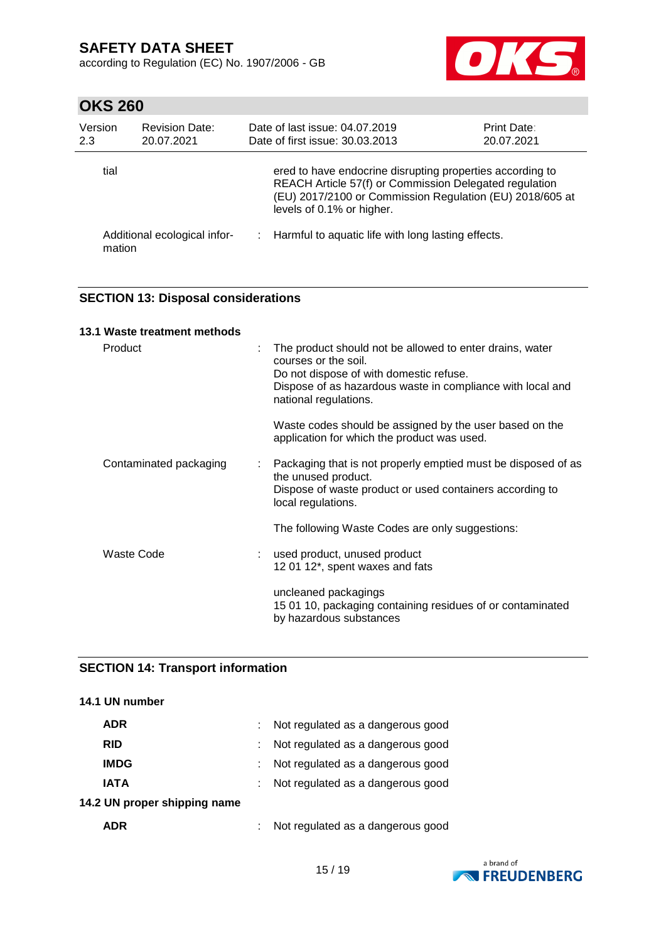according to Regulation (EC) No. 1907/2006 - GB



## **OKS 260**

| Version<br>2.3 | <b>Revision Date:</b><br>20.07.2021 | Date of last issue: 04.07.2019<br>Date of first issue: 30.03.2013                                                                                                                                            | <b>Print Date:</b><br>20.07.2021 |
|----------------|-------------------------------------|--------------------------------------------------------------------------------------------------------------------------------------------------------------------------------------------------------------|----------------------------------|
| tial           |                                     | ered to have endocrine disrupting properties according to<br>REACH Article 57(f) or Commission Delegated regulation<br>(EU) 2017/2100 or Commission Regulation (EU) 2018/605 at<br>levels of 0.1% or higher. |                                  |
| mation         | Additional ecological infor-        | : Harmful to aquatic life with long lasting effects.                                                                                                                                                         |                                  |

## **SECTION 13: Disposal considerations**

| 13.1 Waste treatment methods |                                                                                                                                                                                                                    |
|------------------------------|--------------------------------------------------------------------------------------------------------------------------------------------------------------------------------------------------------------------|
| Product<br>÷.                | The product should not be allowed to enter drains, water<br>courses or the soil.<br>Do not dispose of with domestic refuse.<br>Dispose of as hazardous waste in compliance with local and<br>national regulations. |
|                              | Waste codes should be assigned by the user based on the<br>application for which the product was used.                                                                                                             |
| Contaminated packaging       | Packaging that is not properly emptied must be disposed of as<br>the unused product.<br>Dispose of waste product or used containers according to<br>local regulations.                                             |
|                              | The following Waste Codes are only suggestions:                                                                                                                                                                    |
| Waste Code                   | used product, unused product<br>12 01 12*, spent waxes and fats                                                                                                                                                    |
|                              | uncleaned packagings<br>15 01 10, packaging containing residues of or contaminated<br>by hazardous substances                                                                                                      |

## **SECTION 14: Transport information**

# **14.1 UN number ADR** : Not regulated as a dangerous good **RID** : Not regulated as a dangerous good **IMDG** : Not regulated as a dangerous good **IATA** : Not regulated as a dangerous good **14.2 UN proper shipping name ADR** : Not regulated as a dangerous good

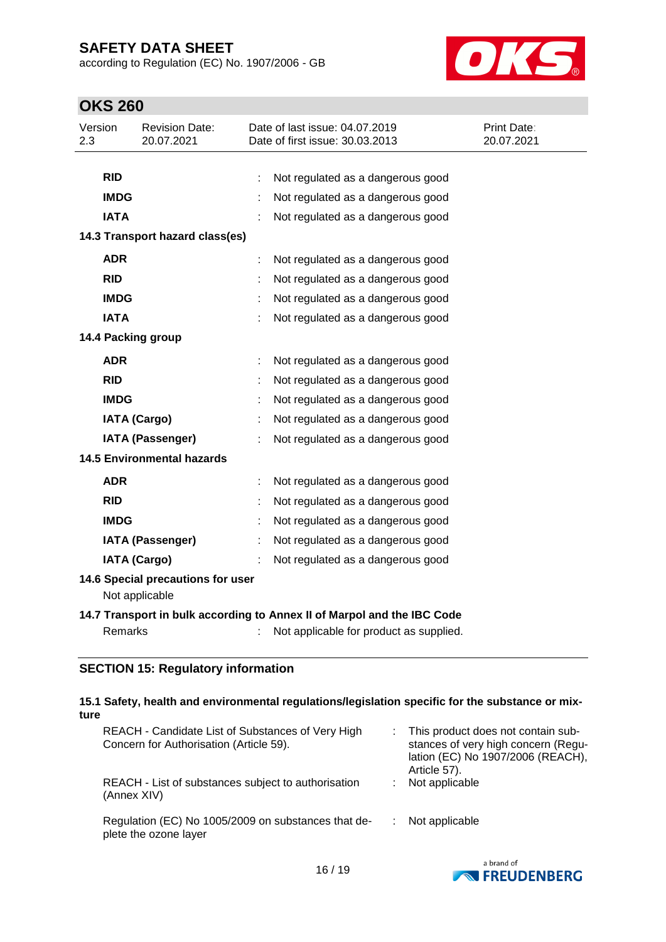according to Regulation (EC) No. 1907/2006 - GB



# **OKS 260**

| Version<br>2.3 | <b>Revision Date:</b><br>20.07.2021 |   | Date of last issue: 04.07.2019<br>Date of first issue: 30.03.2013       | <b>Print Date:</b><br>20.07.2021 |
|----------------|-------------------------------------|---|-------------------------------------------------------------------------|----------------------------------|
|                |                                     |   |                                                                         |                                  |
| <b>RID</b>     |                                     |   | Not regulated as a dangerous good                                       |                                  |
| <b>IMDG</b>    |                                     |   | Not regulated as a dangerous good                                       |                                  |
| <b>IATA</b>    |                                     |   | Not regulated as a dangerous good                                       |                                  |
|                | 14.3 Transport hazard class(es)     |   |                                                                         |                                  |
| <b>ADR</b>     |                                     | ÷ | Not regulated as a dangerous good                                       |                                  |
| <b>RID</b>     |                                     |   | Not regulated as a dangerous good                                       |                                  |
| <b>IMDG</b>    |                                     |   | Not regulated as a dangerous good                                       |                                  |
| <b>IATA</b>    |                                     |   | Not regulated as a dangerous good                                       |                                  |
|                | 14.4 Packing group                  |   |                                                                         |                                  |
| <b>ADR</b>     |                                     | t | Not regulated as a dangerous good                                       |                                  |
| <b>RID</b>     |                                     |   | Not regulated as a dangerous good                                       |                                  |
| <b>IMDG</b>    |                                     |   | Not regulated as a dangerous good                                       |                                  |
|                | <b>IATA (Cargo)</b>                 | ÷ | Not regulated as a dangerous good                                       |                                  |
|                | <b>IATA (Passenger)</b>             |   | Not regulated as a dangerous good                                       |                                  |
|                | <b>14.5 Environmental hazards</b>   |   |                                                                         |                                  |
| <b>ADR</b>     |                                     |   | Not regulated as a dangerous good                                       |                                  |
| <b>RID</b>     |                                     |   | Not regulated as a dangerous good                                       |                                  |
| <b>IMDG</b>    |                                     |   | Not regulated as a dangerous good                                       |                                  |
|                | <b>IATA (Passenger)</b>             |   | Not regulated as a dangerous good                                       |                                  |
|                | <b>IATA (Cargo)</b>                 |   | Not regulated as a dangerous good                                       |                                  |
|                | 14.6 Special precautions for user   |   |                                                                         |                                  |
|                | Not applicable                      |   |                                                                         |                                  |
|                |                                     |   | 14.7 Transport in bulk according to Annex II of Marpol and the IBC Code |                                  |
|                | <b>Remarks</b>                      |   | Not applicable for product as supplied.                                 |                                  |
|                |                                     |   |                                                                         |                                  |

## **SECTION 15: Regulatory information**

#### **15.1 Safety, health and environmental regulations/legislation specific for the substance or mixture**

| REACH - Candidate List of Substances of Very High<br>Concern for Authorisation (Article 59). | : This product does not contain sub-<br>stances of very high concern (Regu-<br>lation (EC) No 1907/2006 (REACH),<br>Article 57). |
|----------------------------------------------------------------------------------------------|----------------------------------------------------------------------------------------------------------------------------------|
| REACH - List of substances subject to authorisation<br>(Annex XIV)                           | Not applicable                                                                                                                   |
| Regulation (EC) No 1005/2009 on substances that de-<br>plete the ozone layer                 | Not applicable                                                                                                                   |

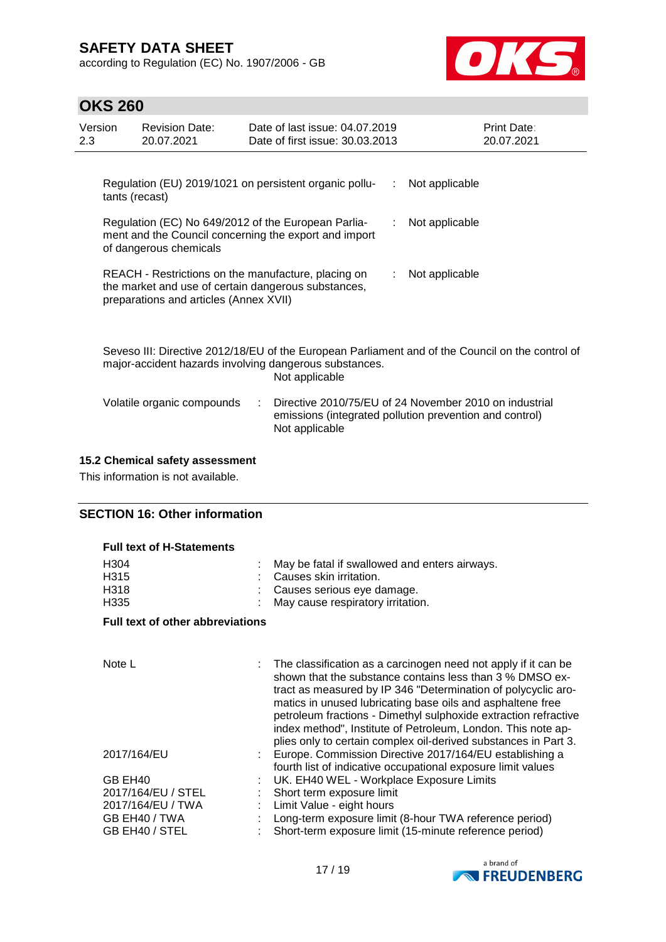according to Regulation (EC) No. 1907/2006 - GB



# **OKS 260**

| Version<br>2.3                                                                                                                                           |                                                                                                                                                                              | <b>Revision Date:</b><br>20.07.2021 |  | Date of last issue: 04.07.2019<br>Date of first issue: 30.03.2013 |    | Print Date:<br>20.07.2021                                                                                         |  |
|----------------------------------------------------------------------------------------------------------------------------------------------------------|------------------------------------------------------------------------------------------------------------------------------------------------------------------------------|-------------------------------------|--|-------------------------------------------------------------------|----|-------------------------------------------------------------------------------------------------------------------|--|
|                                                                                                                                                          |                                                                                                                                                                              |                                     |  | Regulation (EU) 2019/1021 on persistent organic pollu-            | ÷  | Not applicable                                                                                                    |  |
| tants (recast)                                                                                                                                           |                                                                                                                                                                              |                                     |  |                                                                   |    |                                                                                                                   |  |
| Regulation (EC) No 649/2012 of the European Parlia-<br>Not applicable<br>ment and the Council concerning the export and import<br>of dangerous chemicals |                                                                                                                                                                              |                                     |  |                                                                   |    |                                                                                                                   |  |
|                                                                                                                                                          | REACH - Restrictions on the manufacture, placing on<br>the market and use of certain dangerous substances,<br>preparations and articles (Annex XVII)                         |                                     |  |                                                                   | ÷. | Not applicable                                                                                                    |  |
|                                                                                                                                                          | Seveso III: Directive 2012/18/EU of the European Parliament and of the Council on the control of<br>major-accident hazards involving dangerous substances.<br>Not applicable |                                     |  |                                                                   |    |                                                                                                                   |  |
|                                                                                                                                                          |                                                                                                                                                                              | Volatile organic compounds          |  | Not applicable                                                    |    | Directive 2010/75/EU of 24 November 2010 on industrial<br>emissions (integrated pollution prevention and control) |  |

## **15.2 Chemical safety assessment**

This information is not available.

## **SECTION 16: Other information**

| <b>Full text of H-Statements</b>         |                                                                                                                                                                                                                                                                                                                                                                                                                                                                 |
|------------------------------------------|-----------------------------------------------------------------------------------------------------------------------------------------------------------------------------------------------------------------------------------------------------------------------------------------------------------------------------------------------------------------------------------------------------------------------------------------------------------------|
| H304<br>H315<br>H318<br>H <sub>335</sub> | May be fatal if swallowed and enters airways.<br>Causes skin irritation.<br>Causes serious eye damage.<br>May cause respiratory irritation.                                                                                                                                                                                                                                                                                                                     |
|                                          |                                                                                                                                                                                                                                                                                                                                                                                                                                                                 |
| <b>Full text of other abbreviations</b>  |                                                                                                                                                                                                                                                                                                                                                                                                                                                                 |
|                                          |                                                                                                                                                                                                                                                                                                                                                                                                                                                                 |
| Note L                                   | The classification as a carcinogen need not apply if it can be<br>shown that the substance contains less than 3 % DMSO ex-<br>tract as measured by IP 346 "Determination of polycyclic aro-<br>matics in unused lubricating base oils and asphaltene free<br>petroleum fractions - Dimethyl sulphoxide extraction refractive<br>index method", Institute of Petroleum, London. This note ap-<br>plies only to certain complex oil-derived substances in Part 3. |
| 2017/164/EU                              | Europe. Commission Directive 2017/164/EU establishing a<br>fourth list of indicative occupational exposure limit values                                                                                                                                                                                                                                                                                                                                         |
| GB EH40                                  | UK. EH40 WEL - Workplace Exposure Limits                                                                                                                                                                                                                                                                                                                                                                                                                        |
| 2017/164/EU / STEL                       | Short term exposure limit                                                                                                                                                                                                                                                                                                                                                                                                                                       |
| 2017/164/EU / TWA                        | Limit Value - eight hours                                                                                                                                                                                                                                                                                                                                                                                                                                       |
| GB EH40 / TWA                            | Long-term exposure limit (8-hour TWA reference period)                                                                                                                                                                                                                                                                                                                                                                                                          |
| GB EH40 / STEL                           | Short-term exposure limit (15-minute reference period)                                                                                                                                                                                                                                                                                                                                                                                                          |

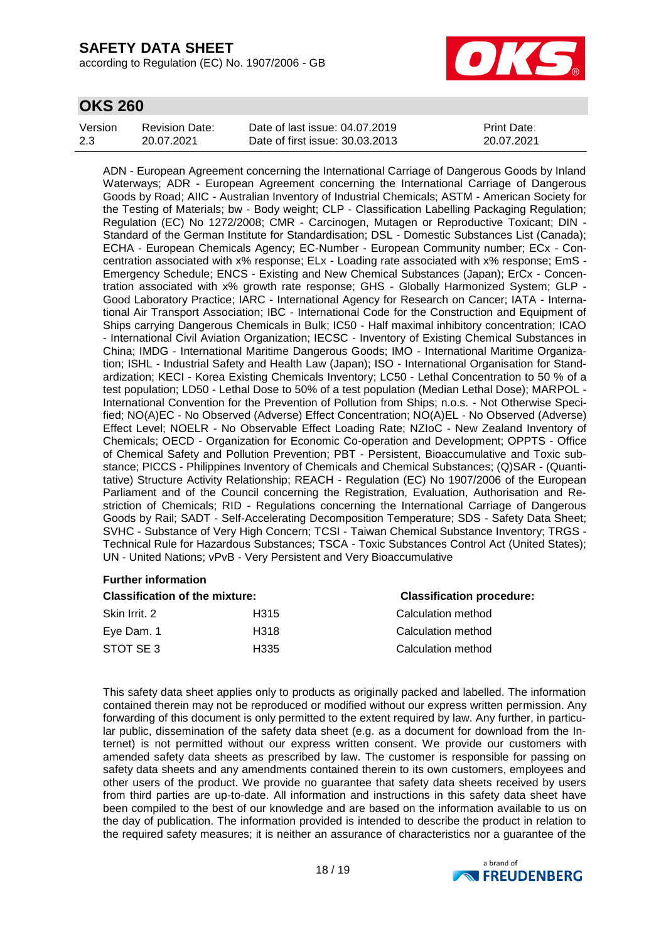according to Regulation (EC) No. 1907/2006 - GB



## **OKS 260**

| Version | Revision Date: | Date of last issue: 04.07.2019  | <b>Print Date:</b> |
|---------|----------------|---------------------------------|--------------------|
| 2.3     | 20.07.2021     | Date of first issue: 30.03.2013 | 20.07.2021         |

ADN - European Agreement concerning the International Carriage of Dangerous Goods by Inland Waterways; ADR - European Agreement concerning the International Carriage of Dangerous Goods by Road; AIIC - Australian Inventory of Industrial Chemicals; ASTM - American Society for the Testing of Materials; bw - Body weight; CLP - Classification Labelling Packaging Regulation; Regulation (EC) No 1272/2008; CMR - Carcinogen, Mutagen or Reproductive Toxicant; DIN - Standard of the German Institute for Standardisation; DSL - Domestic Substances List (Canada); ECHA - European Chemicals Agency; EC-Number - European Community number; ECx - Concentration associated with x% response; ELx - Loading rate associated with x% response; EmS - Emergency Schedule; ENCS - Existing and New Chemical Substances (Japan); ErCx - Concentration associated with x% growth rate response; GHS - Globally Harmonized System; GLP - Good Laboratory Practice; IARC - International Agency for Research on Cancer; IATA - International Air Transport Association; IBC - International Code for the Construction and Equipment of Ships carrying Dangerous Chemicals in Bulk; IC50 - Half maximal inhibitory concentration; ICAO - International Civil Aviation Organization; IECSC - Inventory of Existing Chemical Substances in China; IMDG - International Maritime Dangerous Goods; IMO - International Maritime Organization; ISHL - Industrial Safety and Health Law (Japan); ISO - International Organisation for Standardization; KECI - Korea Existing Chemicals Inventory; LC50 - Lethal Concentration to 50 % of a test population; LD50 - Lethal Dose to 50% of a test population (Median Lethal Dose); MARPOL - International Convention for the Prevention of Pollution from Ships; n.o.s. - Not Otherwise Specified; NO(A)EC - No Observed (Adverse) Effect Concentration; NO(A)EL - No Observed (Adverse) Effect Level; NOELR - No Observable Effect Loading Rate; NZIoC - New Zealand Inventory of Chemicals; OECD - Organization for Economic Co-operation and Development; OPPTS - Office of Chemical Safety and Pollution Prevention; PBT - Persistent, Bioaccumulative and Toxic substance; PICCS - Philippines Inventory of Chemicals and Chemical Substances; (Q)SAR - (Quantitative) Structure Activity Relationship; REACH - Regulation (EC) No 1907/2006 of the European Parliament and of the Council concerning the Registration, Evaluation, Authorisation and Restriction of Chemicals; RID - Regulations concerning the International Carriage of Dangerous Goods by Rail; SADT - Self-Accelerating Decomposition Temperature; SDS - Safety Data Sheet; SVHC - Substance of Very High Concern; TCSI - Taiwan Chemical Substance Inventory; TRGS - Technical Rule for Hazardous Substances; TSCA - Toxic Substances Control Act (United States); UN - United Nations; vPvB - Very Persistent and Very Bioaccumulative

#### **Further information**

| <b>Classification of the mixture:</b> |                    |  |  |  |
|---------------------------------------|--------------------|--|--|--|
| H315                                  | Calculation method |  |  |  |
| H318                                  | Calculation method |  |  |  |
| H335                                  | Calculation method |  |  |  |
|                                       |                    |  |  |  |

This safety data sheet applies only to products as originally packed and labelled. The information contained therein may not be reproduced or modified without our express written permission. Any forwarding of this document is only permitted to the extent required by law. Any further, in particular public, dissemination of the safety data sheet (e.g. as a document for download from the Internet) is not permitted without our express written consent. We provide our customers with amended safety data sheets as prescribed by law. The customer is responsible for passing on safety data sheets and any amendments contained therein to its own customers, employees and other users of the product. We provide no guarantee that safety data sheets received by users from third parties are up-to-date. All information and instructions in this safety data sheet have been compiled to the best of our knowledge and are based on the information available to us on the day of publication. The information provided is intended to describe the product in relation to the required safety measures; it is neither an assurance of characteristics nor a guarantee of the